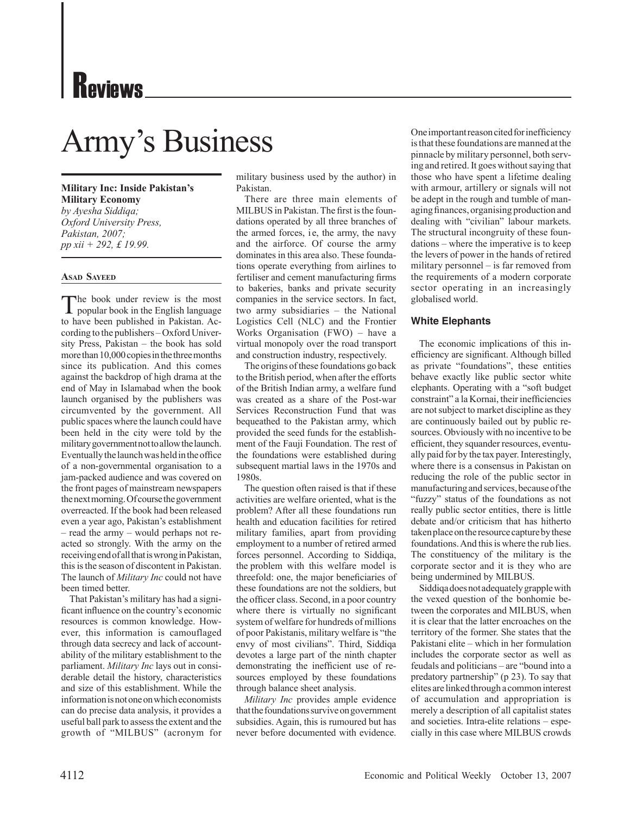# Reviews

## Army's Business

**Military Inc: Inside Pakistan's Military Economy** *by Ayesha Siddiqa; Oxford University Press, Pakistan, 2007; pp xii + 292, £ 19.99.*

### **Asad Sayeed**

The book under review is the most<br>popular book in the English language to have been published in Pakistan. According to the publishers – Oxford University Press, Pakistan – the book has sold more than 10,000 copies in the three months since its publication. And this comes against the backdrop of high drama at the end of May in Islamabad when the book launch organised by the publishers was circumvented by the government. All public spaces where the launch could have been held in the city were told by the military government not to allow the launch. Eventually the launch was held in the office of a non-governmental organisation to a jam-packed audience and was covered on the front pages of mainstream newspapers the next morning. Of course the government overreacted. If the book had been released even a year ago, Pakistan's establishment – read the army – would perhaps not reacted so strongly. With the army on the receiving end of all that is wrong in Pakistan, this is the season of discontent in Pakistan. The launch of *Military Inc* could not have been timed better.

That Pakistan's military has had a significant influence on the country's economic resources is common knowledge. However, this information is camouflaged through data secrecy and lack of accountability of the military establishment to the parliament. *Military Inc* lays out in considerable detail the history, characteristics and size of this establishment. While the information is not one on which economists can do precise data analysis, it provides a useful ball park to assess the extent and the growth of "MILBUS" (acronym for military business used by the author) in Pakistan.

There are three main elements of MILBUS in Pakistan. The first is the foundations operated by all three branches of the armed forces, i.e, the army, the navy and the airforce. Of course the army dominates in this area also. These foundations operate everything from airlines to fertiliser and cement manufacturing firms to bakeries, banks and private security companies in the service sectors. In fact, two army subsidiaries – the National Logistics Cell (NLC) and the Frontier Works Organisation (FWO) – have a virtual monopoly over the road transport and construction industry, respectively.

The origins of these foundations go back to the British period, when after the efforts of the British Indian army, a welfare fund was created as a share of the Post-war Services Reconstruction Fund that was bequeathed to the Pakistan army, which provided the seed funds for the establishment of the Fauji Foundation. The rest of the foundations were established during subsequent martial laws in the 1970s and 1980s.

The question often raised is that if these activities are welfare oriented, what is the problem? After all these foundations run health and education facilities for retired military families, apart from providing employment to a number of retired armed forces personnel. According to Siddiqa, the problem with this welfare model is threefold: one, the major beneficiaries of these foundations are not the soldiers, but the officer class. Second, in a poor country where there is virtually no significant system of welfare for hundreds of millions of poor Pakistanis, military welfare is "the envy of most civilians". Third, Siddiqa devotes a large part of the ninth chapter demonstrating the inefficient use of resources employed by these foundations through balance sheet analysis.

*Military Inc* provides ample evidence that the foundations survive on government subsidies. Again, this is rumoured but has never before documented with evidence.

One important reason cited for inefficiency is that these foundations are manned at the pinnacle by military personnel, both serving and retired. It goes without saying that those who have spent a lifetime dealing with armour, artillery or signals will not be adept in the rough and tumble of managing finances, organising production and dealing with "civilian" labour markets. The structural incongruity of these foundations – where the imperative is to keep the levers of power in the hands of retired military personnel – is far removed from the requirements of a modern corporate sector operating in an increasingly globalised world.

### **White Elephants**

The economic implications of this inefficiency are significant. Although billed as private "foundations", these entities behave exactly like public sector white elephants. Operating with a "soft budget constraint" a la Kornai, their inefficiencies are not subject to market discipline as they are continuously bailed out by public resources. Obviously with no incentive to be efficient, they squander resources, eventually paid for by the tax payer. Interestingly, where there is a consensus in Pakistan on reducing the role of the public sector in manufacturing and services, because of the "fuzzy" status of the foundations as not really public sector entities, there is little debate and/or criticism that has hitherto taken place on the resource capture by these foundations. And this is where the rub lies. The constituency of the military is the corporate sector and it is they who are being undermined by MILBUS.

Siddiqa does not adequately grapple with the vexed question of the bonhomie between the corporates and MILBUS, when it is clear that the latter encroaches on the territory of the former. She states that the Pakistani elite – which in her formulation includes the corporate sector as well as feudals and politicians – are "bound into a predatory partnership" (p 23). To say that elites are linked through a common interest of accumulation and appropriation is merely a description of all capitalist states and societies. Intra-elite relations – especially in this case where MILBUS crowds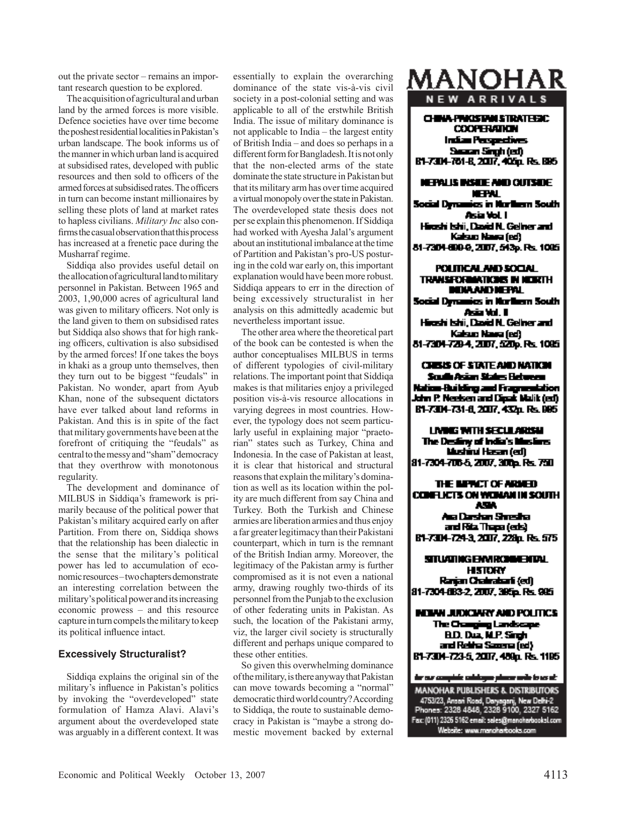out the private sector – remains an impor tant research question to be explored.

The acquisition of agricultural and urban land by the armed forces is more visible. Defence societies have over time become the poshest residential localities in Pakistan's urban landscape. The book informs us of the manner in which urban land is acquired at subsidised rates, developed with public resources and then sold to officers of the armed forces at subsidised rates. The officers in turn can become instant millionaires by selling these plots of land at market rates to hapless civilians. *Military Inc* also con firms the casual observation that this process has increased at a frenetic pace during the Musharraf regime.

Siddiqa also provides useful detail on the allocation of agricultural land to military personnel in Pakistan. Between 1965 and 2003, 1,90,000 acres of agricultural land was given to military officers. Not only is the land given to them on subsidised rates but Siddiqa also shows that for high rank ing officers, cultivation is also subsidised by the armed forces! If one takes the boys in khaki as a group unto themselves, then they turn out to be biggest "feudals" in Pakistan. No wonder, apart from Ayub Khan, none of the subsequent dictators have ever talked about land reforms in Pakistan. And this is in spite of the fact that military governments have been at the forefront of critiquing the "feudals" as central to the messy and "sham" democracy that they overthrow with monotonous regularity.

The development and dominance of MILBUS in Siddiqa's framework is pri marily because of the political power that Pakistan's military acquired early on after Partition. From there on, Siddiqa shows that the relationship has been dialectic in the sense that the military's political power has led to accumulation of eco nomic resources – two chapters demonstrate an interesting correlation between the military's political power and its increasing economic prowess – and this resource capture in turn compels the military to keep its political influence intact.

### **Excessively Structuralist?**

Siddiqa explains the original sin of the military's influence in Pakistan's politics by invoking the "overdeveloped" state formulation of Hamza Alavi. Alavi's argument about the overdeveloped state was arguably in a different context. It was essentially to explain the overarching dominance of the state vis-à-vis civil society in a post-colonial setting and was applicable to all of the erstwhile British India. The issue of military dominance is not applicable to India – the largest entity of British India – and does so perhaps in a different form for Bangladesh. It is not only that the non-elected arms of the state dominate the state structure in Pakistan but that its military arm has over time acquired a virtual monopoly over the state in Pakistan. The overdeveloped state thesis does not per se explain this phenomenon. If Siddiqa had worked with Ayesha Jalal's argument about an institutional imbalance at the time of Partition and Pakistan's pro-US postur ing in the cold war early on, this important explanation would have been more robust. Siddiqa appears to err in the direction of being excessively structuralist in her analysis on this admittedly academic but nevertheless important issue.

The other area where the theoretical part of the book can be contested is when the author conceptualises MILBUS in terms of different typologies of civil-military relations. The important point that Siddiqa makes is that militaries enjoy a privileged position vis-à-vis resource allocations in varying degrees in most countries. How ever, the typology does not seem particu larly useful in explaining major "praeto rian" states such as Turkey, China and Indonesia. In the case of Pakistan at least, it is clear that historical and structural reasons that explain the military's domina tion as well as its location within the pol ity are much different from say China and Turkey. Both the Turkish and Chinese armies are liberation armies and thus enjoy a far greater legitimacy than their Pakistani counterpart, which in turn is the remnant of the British Indian army. Moreover, the legitimacy of the Pakistan army is further compromised as it is not even a national army, drawing roughly two-thirds of its personnel from the Punjab to the exclusion of other federating units in Pakistan. As such, the location of the Pakistani army, viz, the larger civil society is structurally different and perhaps unique compared to these other entities.

So given this overwhelming dominance of the military, is there anyway that Pakistan can move towards becoming a "normal" democratic third world country? According to Siddiqa, the route to sustainable demo cracy in Pakistan is "maybe a strong do mestic movement backed by external

### MANOHAR **NEW ARRIVALS**

### CHINA PRIOSTAN STRATHEIC **COOPERATION Indian Perspectives** Search Singh (ed)

B1-7304-781-B, 2007, 405p, Rs. 895

### **NEPALIS INSUE AND CUTSUE NEFAL**

Social Dynamics in Northern South Asia Vol. I Hieshi Ishii, David N. Gelher and Kaisus Nava (ed) 81-7304-600-9, 2007, 543p. Rs. 1085

#### POLITICAL AND SOCIAL **TRANSFORMATIONS IN NEWTH NUVAND NEFAL**

Social Dynamics in Northern South Asia Vol. I Hieshi Ishii, David N. Geliner and Kaisus Nava (ed) 81-7304-729-4, 2007, 520p. Rs. 1095

**CHESIS OF STATE AND NATION** Scuile Asian States Hebreau Nation-Building and Fragmentation John P. Neelsen and Clask Malik (ed). B1-7304-731-8, 2007, 432p. Rs. 995

LIVINGS WITH SECULARISM The Desliny of India's Muslims Mushind Hasan (ed) 81-7304-706-5, 2007, 300p. F.S. 750

THE MENCT OF ARMED CONFI KETS ON WOMAN IN SCHITH ASA. Ara Darshan Shresha

and Rita Thapa (eds) B1-7304-724-3, 2007, 228p. Rs. 575

STUATING ENVIRONMENTAL **HISTORY** Ranjan Chalmabarli (ed) 81-7304-883-2, 2007, 395p, Rs. 985

**MINN JUDICIARY AND POLITICS** The Changing Landscape **B.D. Duz. N.P. Singh** and Retire Sacres (ed) B1-7304-723-5, 2007, 489p. Rs. 1195

### for our complete colologue placer with to us at:

MANOHAR PUBLISHERS & DISTRIBUTORS 4753/23, Ansari Road, Daryaganj, New Delhi-2<br>Phones: 2328 4848, 2328 9100, 2327 5162 Fax: (011) 2326 5162 email: sales@mancharbooksl.com Website: www.manoharbooks.com